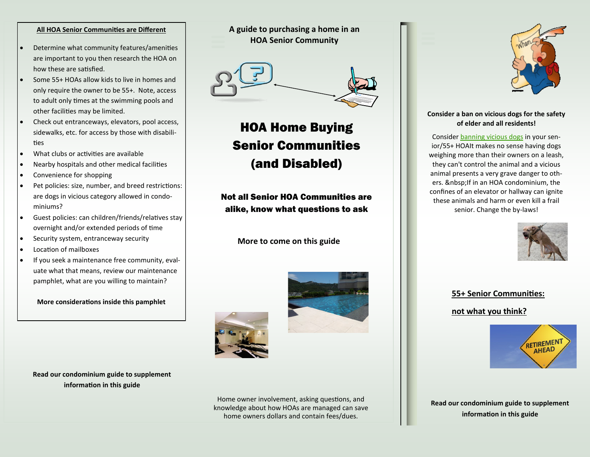#### **All HOA Senior Communities are Different**

- Determine what community features/amenities are important to you then research the HOA on how these are satisfied.
- Some 55+ HOAs allow kids to live in homes and only require the owner to be 55+. Note, access to adult only times at the swimming pools and other facilities may be limited.
- Check out entranceways, elevators, pool access, sidewalks, etc. for access by those with disabilities
- What clubs or activities are available
- Nearby hospitals and other medical facilities
- Convenience for shopping
- Pet policies: size, number, and breed restrictions: are dogs in vicious category allowed in condominiums?
- Guest policies: can children/friends/relatives stay overnight and/or extended periods of time
- Security system, entranceway security
- Location of mailboxes
- If you seek a maintenance free community, evaluate what that means, review our maintenance pamphlet, what are you willing to maintain?

**More considerations inside this pamphlet**

**Read our condominium guide to supplement information in this guide**

**A guide to purchasing a home in an HOA Senior Community** 



HOA Home Buying Senior Communities (and Disabled)

Not all Senior HOA Communities are alike, know what questions to ask

**More to come on this guide**





### **Consider a ban on vicious dogs for the safety of elder and all residents!**

Consider [banning vicious dogs](http://www.daily-choices.com/most-dangerous-dog-breeds-in-the-world/?utm_medium=yahoo&utm_source=aol) in your senior/55+ HOAIt makes no sense having dogs weighing more than their owners on a leash, they can't control the animal and a vicious animal presents a very grave danger to others. If in an HOA condominium, the confines of an elevator or hallway can ignite these animals and harm or even kill a frail senior. Change the by-laws!



### **[55+ Senior Communities:](http://yourhub.denverpost.com/blog/2020/10/hoa-55-communities-not-what-you-think/268742/)**

### **[not what you think?](http://yourhub.denverpost.com/blog/2020/10/hoa-55-communities-not-what-you-think/268742/)**



**Read our condominium guide to supplement information in this guide**